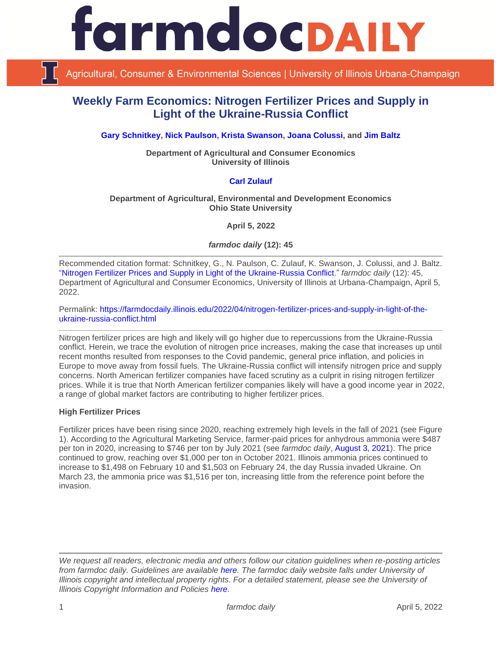

Agricultural, Consumer & Environmental Sciences | University of Illinois Urbana-Champaign

# **Weekly Farm Economics: Nitrogen Fertilizer Prices and Supply in Light of the Ukraine-Russia Conflict**

**[Gary Schnitkey,](https://ace.illinois.edu/directory/schnitke) [Nick Paulson,](https://ace.illinois.edu/directory/npaulson) [Krista Swanson,](https://ace.illinois.edu/directory/krista) [Joana Colussi,](https://www.linkedin.com/in/joana-colussi-7856b3155/) and [Jim Baltz](https://ace.illinois.edu/directory/jhbaltz)**

**Department of Agricultural and Consumer Economics University of Illinois**

## **[Carl Zulauf](http://aede.osu.edu/our-people/carl-zulauf)**

#### **Department of Agricultural, Environmental and Development Economics Ohio State University**

**April 5, 2022**

*farmdoc daily* **(12): 45**

Recommended citation format: Schnitkey, G., N. Paulson, C. Zulauf, K. Swanson, J. Colussi, and J. Baltz. ["Nitrogen Fertilizer Prices and Supply in Light of the Ukraine-Russia Conflict.](https://farmdocdaily.illinois.edu/2022/04/nitrogen-fertilizer-prices-and-supply-in-light-of-the-ukraine-russia-conflict.html)" *farmdoc daily* (12): 45, Department of Agricultural and Consumer Economics, University of Illinois at Urbana-Champaign, April 5, 2022.

Permalink: [https://farmdocdaily.illinois.edu/2022/04/nitrogen-fertilizer-prices-and-supply-in-light-of-the](https://farmdocdaily.illinois.edu/2022/04/nitrogen-fertilizer-prices-and-supply-in-light-of-the-ukraine-russia-conflict.html)[ukraine-russia-conflict.html](https://farmdocdaily.illinois.edu/2022/04/nitrogen-fertilizer-prices-and-supply-in-light-of-the-ukraine-russia-conflict.html)

Nitrogen fertilizer prices are high and likely will go higher due to repercussions from the Ukraine-Russia conflict. Herein, we trace the evolution of nitrogen price increases, making the case that increases up until recent months resulted from responses to the Covid pandemic, general price inflation, and policies in Europe to move away from fossil fuels. The Ukraine-Russia conflict will intensify nitrogen price and supply concerns. North American fertilizer companies have faced scrutiny as a culprit in rising nitrogen fertilizer prices. While it is true that North American fertilizer companies likely will have a good income year in 2022, a range of global market factors are contributing to higher fertilizer prices.

## **High Fertilizer Prices**

Fertilizer prices have been rising since 2020, reaching extremely high levels in the fall of 2021 (see Figure 1). According to the Agricultural Marketing Service, farmer-paid prices for anhydrous ammonia were \$487 per ton in 2020, increasing to \$746 per ton by July 2021 (see *farmdoc daily*, [August 3, 2021\)](https://farmdocdaily.illinois.edu/2021/08/2021-fertilizer-price-increases-in-perspective-with-implications-for-2022-costs.html). The price continued to grow, reaching over \$1,000 per ton in October 2021. Illinois ammonia prices continued to increase to \$1,498 on February 10 and \$1,503 on February 24, the day Russia invaded Ukraine. On March 23, the ammonia price was \$1,516 per ton, increasing little from the reference point before the invasion.

*We request all readers, electronic media and others follow our citation guidelines when re-posting articles from farmdoc daily. Guidelines are available [here.](http://farmdocdaily.illinois.edu/citationguide.html) The farmdoc daily website falls under University of Illinois copyright and intellectual property rights. For a detailed statement, please see the University of Illinois Copyright Information and Policies [here.](http://www.cio.illinois.edu/policies/copyright/)*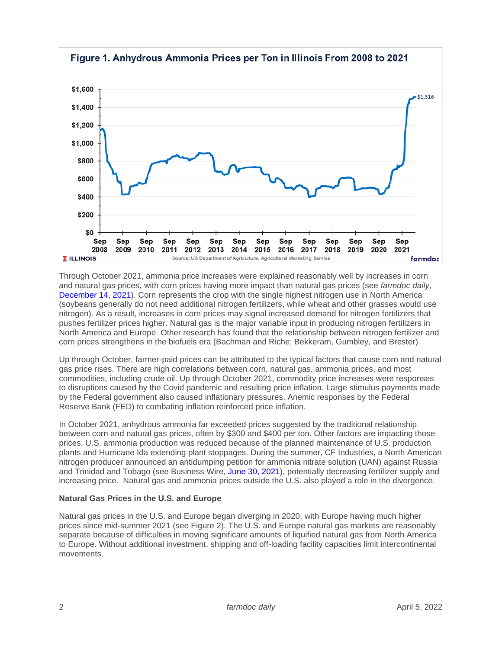

Through October 2021, ammonia price increases were explained reasonably well by increases in corn and natural gas prices, with corn prices having more impact than natural gas prices (see *farmdoc daily*, [December 14, 2021\)](https://farmdocdaily.illinois.edu/2021/12/nitrogen-fertilizer-prices-above-expected-levels.html). Corn represents the crop with the single highest nitrogen use in North America (soybeans generally do not need additional nitrogen fertilizers, while wheat and other grasses would use nitrogen). As a result, increases in corn prices may signal increased demand for nitrogen fertilizers that pushes fertilizer prices higher. Natural gas is the major variable input in producing nitrogen fertilizers in North America and Europe. Other research has found that the relationship between nitrogen fertilizer and corn prices strengthens in the biofuels era (Bachman and Riche; Bekkeram, Gumbley, and Brester).

Up through October, farmer-paid prices can be attributed to the typical factors that cause corn and natural gas price rises. There are high correlations between corn, natural gas, ammonia prices, and most commodities, including crude oil. Up through October 2021, commodity price increases were responses to disruptions caused by the Covid pandemic and resulting price inflation. Large stimulus payments made by the Federal government also caused inflationary pressures. Anemic responses by the Federal Reserve Bank (FED) to combating inflation reinforced price inflation.

In October 2021, anhydrous ammonia far exceeded prices suggested by the traditional relationship between corn and natural gas prices, often by \$300 and \$400 per ton. Other factors are impacting those prices. U.S. ammonia production was reduced because of the planned maintenance of U.S. production plants and Hurricane Ida extending plant stoppages. During the summer, CF Industries, a North American nitrogen producer announced an antidumping petition for ammonia nitrate solution (UAN) against Russia and Trinidad and Tobago (see Business Wire, [June 30, 2021\)](https://www.businesswire.com/news/home/20210630006006/en/CF-Industries-Holdings-Inc.-Announces-Petitions-Seeking-Remedies-for-Unfairly-Traded-Imports-of-UAN-from-Russia-and-Trinidad-and-Tobago), potentially decreasing fertilizer supply and increasing price. Natural gas and ammonia prices outside the U.S. also played a role in the divergence.

## **Natural Gas Prices in the U.S. and Europe**

Natural gas prices in the U.S. and Europe began diverging in 2020, with Europe having much higher prices since mid-summer 2021 (see Figure 2). The U.S. and Europe natural gas markets are reasonably separate because of difficulties in moving significant amounts of liquified natural gas from North America to Europe. Without additional investment, shipping and off-loading facility capacities limit intercontinental movements.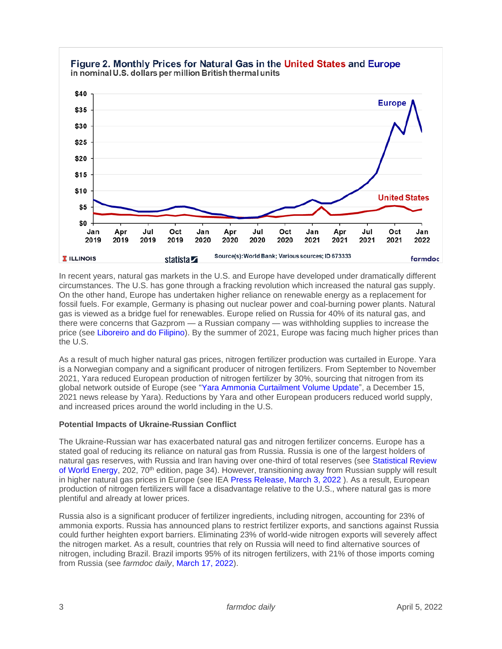

In recent years, natural gas markets in the U.S. and Europe have developed under dramatically different circumstances. The U.S. has gone through a fracking revolution which increased the natural gas supply. On the other hand, Europe has undertaken higher reliance on renewable energy as a replacement for fossil fuels. For example, Germany is phasing out nuclear power and coal-burning power plants. Natural gas is viewed as a bridge fuel for renewables. Europe relied on Russia for 40% of its natural gas, and there were concerns that Gazprom — a Russian company — was withholding supplies to increase the price (see [Liboreiro and do Filipino\)](https://www.euronews.com/my-europe/2021/10/28/why-europe-s-energy-prices-are-soaring-and-could-get-much-worse). By the summer of 2021, Europe was facing much higher prices than the U.S.

As a result of much higher natural gas prices, nitrogen fertilizer production was curtailed in Europe. Yara is a Norwegian company and a significant producer of nitrogen fertilizers. From September to November 2021, Yara reduced European production of nitrogen fertilizer by 30%, sourcing that nitrogen from its global network outside of Europe (see ["Yara Ammonia Curtailment Volume Update"](https://www.yara.com/corporate-releases/yara-ammonia-curtailment-volumeupdate/), a December 15, 2021 news release by Yara). Reductions by Yara and other European producers reduced world supply, and increased prices around the world including in the U.S.

## **Potential Impacts of Ukraine-Russian Conflict**

The Ukraine-Russian war has exacerbated natural gas and nitrogen fertilizer concerns. Europe has a stated goal of reducing its reliance on natural gas from Russia. Russia is one of the largest holders of natural gas reserves, with Russia and Iran having over one-third of total reserves (see [Statistical Review](https://www.bp.com/content/dam/bp/business-sites/en/global/corporate/pdfs/energy-economics/statistical-review/bp-stats-review-2021-full-report.pdf)  [of World Energy,](https://www.bp.com/content/dam/bp/business-sites/en/global/corporate/pdfs/energy-economics/statistical-review/bp-stats-review-2021-full-report.pdf) 202, 70<sup>th</sup> edition, page 34). However, transitioning away from Russian supply will result in higher natural gas prices in Europe (see IEA [Press Release, March 3, 2022](https://www.iea.org/news/how-europe-can-cut-natural-gas-imports-from-russia-significantly-within-a-year) ). As a result, European production of nitrogen fertilizers will face a disadvantage relative to the U.S., where natural gas is more plentiful and already at lower prices.

Russia also is a significant producer of fertilizer ingredients, including nitrogen, accounting for 23% of ammonia exports. Russia has announced plans to restrict fertilizer exports, and sanctions against Russia could further heighten export barriers. Eliminating 23% of world-wide nitrogen exports will severely affect the nitrogen market. As a result, countries that rely on Russia will need to find alternative sources of nitrogen, including Brazil. Brazil imports 95% of its nitrogen fertilizers, with 21% of those imports coming from Russia (see *farmdoc daily*, [March 17, 2022\)](https://farmdocdaily.illinois.edu/2022/03/war-in-ukraine-and-its-effect-on-fertilizer-exports-to-brazil-and-the-us.html).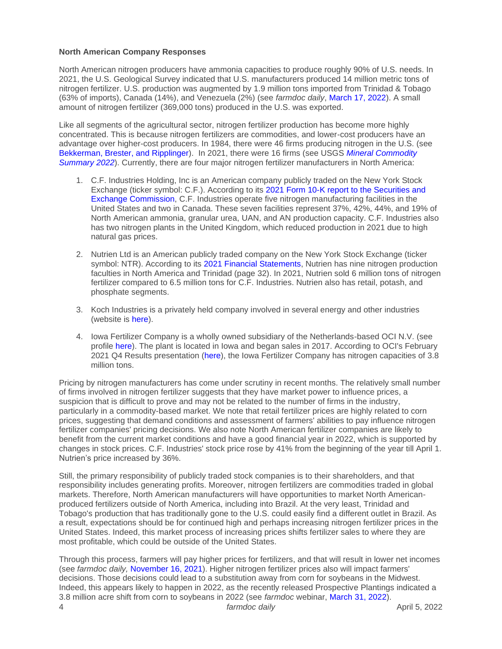#### **North American Company Responses**

North American nitrogen producers have ammonia capacities to produce roughly 90% of U.S. needs. In 2021, the U.S. Geological Survey indicated that U.S. manufacturers produced 14 million metric tons of nitrogen fertilizer. U.S. production was augmented by 1.9 million tons imported from Trinidad & Tobago (63% of imports), Canada (14%), and Venezuela (2%) (see *farmdoc daily*, [March 17, 2022\)](https://farmdocdaily.illinois.edu/2022/03/war-in-ukraine-and-its-effect-on-fertilizer-exports-to-brazil-and-the-us.html). A small amount of nitrogen fertilizer (369,000 tons) produced in the U.S. was exported.

Like all segments of the agricultural sector, nitrogen fertilizer production has become more highly concentrated. This is because nitrogen fertilizers are commodities, and lower-cost producers have an advantage over higher-cost producers. In 1984, there were 46 firms producing nitrogen in the U.S. (see [Bekkerman, Brester, and Ripplinger\)](https://www.choicesmagazine.org/choices-magazine/submitted-articles/the-history-consolidation-and-future-of-the-us-nitrogen-fertilizer-production-industry). In 2021, there were 16 firms (see USGS *[Mineral Commodity](https://pubs.usgs.gov/periodicals/mcs2022/mcs2022.pdf)  [Summary 2022](https://pubs.usgs.gov/periodicals/mcs2022/mcs2022.pdf)*). Currently, there are four major nitrogen fertilizer manufacturers in North America:

- 1. C.F. Industries Holding, Inc is an American company publicly traded on the New York Stock Exchange (ticker symbol: C.F.). According to its 2021 Form [10-K report to the Securities and](https://d18rn0p25nwr6d.cloudfront.net/CIK-0001324404/fb3473c7-b8f5-4d86-a17d-e1fc25046f58.pdf)  [Exchange Commission,](https://d18rn0p25nwr6d.cloudfront.net/CIK-0001324404/fb3473c7-b8f5-4d86-a17d-e1fc25046f58.pdf) C.F. Industries operate five nitrogen manufacturing facilities in the United States and two in Canada. These seven facilities represent 37%, 42%, 44%, and 19% of North American ammonia, granular urea, UAN, and AN production capacity. C.F. Industries also has two nitrogen plants in the United Kingdom, which reduced production in 2021 due to high natural gas prices.
- 2. Nutrien Ltd is an American publicly traded company on the New York Stock Exchange (ticker symbol: NTR). According to its [2021 Financial Statements,](https://www.nutrien.com/investors/financial-reporting) Nutrien has nine nitrogen production faculties in North America and Trinidad (page 32). In 2021, Nutrien sold 6 million tons of nitrogen fertilizer compared to 6.5 million tons for C.F. Industries. Nutrien also has retail, potash, and phosphate segments.
- 3. Koch Industries is a privately held company involved in several energy and other industries (website is [here\)](https://www.kochind.com/).
- 4. Iowa Fertilizer Company is a wholly owned subsidiary of the Netherlands-based OCI N.V. (see profile [here\)](https://www.iowafertilizer.com/careers/company-profile/). The plant is located in Iowa and began sales in 2017. According to OCI's February 2021 Q4 Results presentation [\(here\)](https://www.oci.nl/investor-centre/results-and-presentations), the Iowa Fertilizer Company has nitrogen capacities of 3.8 million tons.

Pricing by nitrogen manufacturers has come under scrutiny in recent months. The relatively small number of firms involved in nitrogen fertilizer suggests that they have market power to influence prices, a suspicion that is difficult to prove and may not be related to the number of firms in the industry, particularly in a commodity-based market. We note that retail fertilizer prices are highly related to corn prices, suggesting that demand conditions and assessment of farmers' abilities to pay influence nitrogen fertilizer companies' pricing decisions. We also note North American fertilizer companies are likely to benefit from the current market conditions and have a good financial year in 2022, which is supported by changes in stock prices. C.F. Industries' stock price rose by 41% from the beginning of the year till April 1. Nutrien's price increased by 36%.

Still, the primary responsibility of publicly traded stock companies is to their shareholders, and that responsibility includes generating profits. Moreover, nitrogen fertilizers are commodities traded in global markets. Therefore, North American manufacturers will have opportunities to market North Americanproduced fertilizers outside of North America, including into Brazil. At the very least, Trinidad and Tobago's production that has traditionally gone to the U.S. could easily find a different outlet in Brazil. As a result, expectations should be for continued high and perhaps increasing nitrogen fertilizer prices in the United States. Indeed, this market process of increasing prices shifts fertilizer sales to where they are most profitable, which could be outside of the United States.

4 *farmdoc daily* April 5, 2022 Through this process, farmers will pay higher prices for fertilizers, and that will result in lower net incomes (see *farmdoc daily,* [November 16, 2021\)](https://farmdocdaily.illinois.edu/2021/11/2022-grain-farm-income-projections-negatively-impacted-by-fertilizer-cost-increases.html). Higher nitrogen fertilizer prices also will impact farmers' decisions. Those decisions could lead to a substitution away from corn for soybeans in the Midwest. Indeed, this appears likely to happen in 2022, as the recently released Prospective Plantings indicated a 3.8 million acre shift from corn to soybeans in 2022 (see *farmdoc* webinar, [March 31, 2022\)](https://farmdoc.illinois.edu/webinar/implications-of-usda-grain-stocks-and-prospective-plantings-reports-for-corn-and-soybean-prices-4).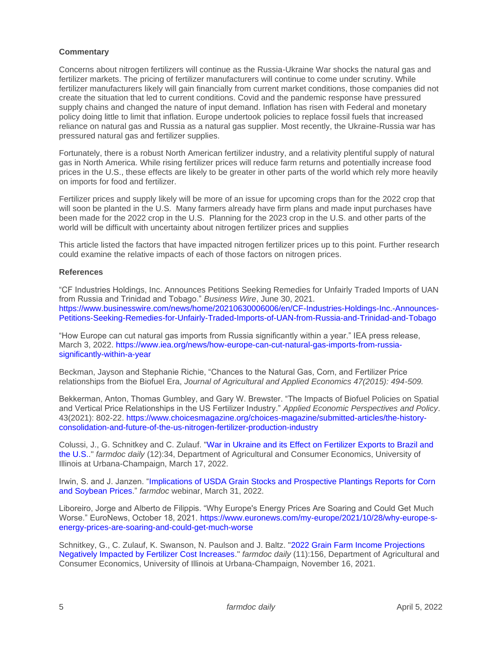#### **Commentary**

Concerns about nitrogen fertilizers will continue as the Russia-Ukraine War shocks the natural gas and fertilizer markets. The pricing of fertilizer manufacturers will continue to come under scrutiny. While fertilizer manufacturers likely will gain financially from current market conditions, those companies did not create the situation that led to current conditions. Covid and the pandemic response have pressured supply chains and changed the nature of input demand. Inflation has risen with Federal and monetary policy doing little to limit that inflation. Europe undertook policies to replace fossil fuels that increased reliance on natural gas and Russia as a natural gas supplier. Most recently, the Ukraine-Russia war has pressured natural gas and fertilizer supplies.

Fortunately, there is a robust North American fertilizer industry, and a relativity plentiful supply of natural gas in North America. While rising fertilizer prices will reduce farm returns and potentially increase food prices in the U.S., these effects are likely to be greater in other parts of the world which rely more heavily on imports for food and fertilizer.

Fertilizer prices and supply likely will be more of an issue for upcoming crops than for the 2022 crop that will soon be planted in the U.S. Many farmers already have firm plans and made input purchases have been made for the 2022 crop in the U.S. Planning for the 2023 crop in the U.S. and other parts of the world will be difficult with uncertainty about nitrogen fertilizer prices and supplies

This article listed the factors that have impacted nitrogen fertilizer prices up to this point. Further research could examine the relative impacts of each of those factors on nitrogen prices.

#### **References**

"CF Industries Holdings, Inc. Announces Petitions Seeking Remedies for Unfairly Traded Imports of UAN from Russia and Trinidad and Tobago." *Business Wire*, June 30, 2021. [https://www.businesswire.com/news/home/20210630006006/en/CF-Industries-Holdings-Inc.-Announces-](https://www.businesswire.com/news/home/20210630006006/en/CF-Industries-Holdings-Inc.-Announces-Petitions-Seeking-Remedies-for-Unfairly-Traded-Imports-of-UAN-from-Russia-and-Trinidad-and-Tobago)[Petitions-Seeking-Remedies-for-Unfairly-Traded-Imports-of-UAN-from-Russia-and-Trinidad-and-Tobago](https://www.businesswire.com/news/home/20210630006006/en/CF-Industries-Holdings-Inc.-Announces-Petitions-Seeking-Remedies-for-Unfairly-Traded-Imports-of-UAN-from-Russia-and-Trinidad-and-Tobago)

"How Europe can cut natural gas imports from Russia significantly within a year." IEA press release, March 3, 2022. [https://www.iea.org/news/how-europe-can-cut-natural-gas-imports-from-russia](https://www.iea.org/news/how-europe-can-cut-natural-gas-imports-from-russia-significantly-within-a-year)[significantly-within-a-year](https://www.iea.org/news/how-europe-can-cut-natural-gas-imports-from-russia-significantly-within-a-year)

Beckman, Jayson and Stephanie Richie, "Chances to the Natural Gas, Corn, and Fertilizer Price relationships from the Biofuel Era, *Journal of Agricultural and Applied Economics 47(2015): 494-509.*

Bekkerman, Anton, Thomas Gumbley, and Gary W. Brewster. "The Impacts of Biofuel Policies on Spatial and Vertical Price Relationships in the US Fertilizer Industry." *Applied Economic Perspectives and Policy*. 43(2021): 802-22. [https://www.choicesmagazine.org/choices-magazine/submitted-articles/the-history](https://www.choicesmagazine.org/choices-magazine/submitted-articles/the-history-consolidation-and-future-of-the-us-nitrogen-fertilizer-production-industry)[consolidation-and-future-of-the-us-nitrogen-fertilizer-production-industry](https://www.choicesmagazine.org/choices-magazine/submitted-articles/the-history-consolidation-and-future-of-the-us-nitrogen-fertilizer-production-industry)

Colussi, J., G. Schnitkey and C. Zulauf. ["War in Ukraine and its Effect on Fertilizer Exports to Brazil and](https://farmdocdaily.illinois.edu/2022/03/war-in-ukraine-and-its-effect-on-fertilizer-exports-to-brazil-and-the-us.html)  [the U.S..](https://farmdocdaily.illinois.edu/2022/03/war-in-ukraine-and-its-effect-on-fertilizer-exports-to-brazil-and-the-us.html)" *farmdoc daily* (12):34, Department of Agricultural and Consumer Economics, University of Illinois at Urbana-Champaign, March 17, 2022.

Irwin, S. and J. Janzen. ["Implications of USDA Grain Stocks and Prospective Plantings Reports for Corn](https://farmdoc.illinois.edu/webinar/implications-of-usda-grain-stocks-and-prospective-plantings-reports-for-corn-and-soybean-prices-4)  [and Soybean Prices.](https://farmdoc.illinois.edu/webinar/implications-of-usda-grain-stocks-and-prospective-plantings-reports-for-corn-and-soybean-prices-4)" *farmdoc* webinar, March 31, 2022.

Liboreiro, Jorge and Alberto de Filippis. "Why Europe's Energy Prices Are Soaring and Could Get Much Worse." EuroNews, October 18, 2021. [https://www.euronews.com/my-europe/2021/10/28/why-europe-s](https://www.euronews.com/my-europe/2021/10/28/why-europe-s-energy-prices-are-soaring-and-could-get-much-worse)[energy-prices-are-soaring-and-could-get-much-worse](https://www.euronews.com/my-europe/2021/10/28/why-europe-s-energy-prices-are-soaring-and-could-get-much-worse)

Schnitkey, G., C. Zulauf, K. Swanson, N. Paulson and J. Baltz. "2022 Grain [Farm Income Projections](https://farmdocdaily.illinois.edu/2021/11/2022-grain-farm-income-projections-negatively-impacted-by-fertilizer-cost-increases.html)  [Negatively Impacted by Fertilizer Cost Increases.](https://farmdocdaily.illinois.edu/2021/11/2022-grain-farm-income-projections-negatively-impacted-by-fertilizer-cost-increases.html)" *farmdoc daily* (11):156, Department of Agricultural and Consumer Economics, University of Illinois at Urbana-Champaign, November 16, 2021.